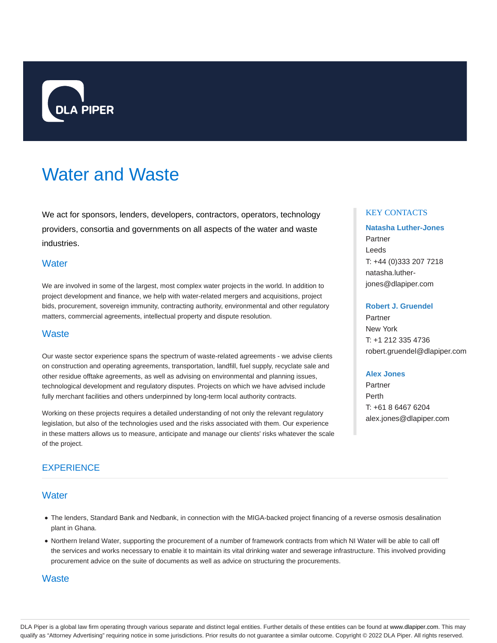

# Water and Waste

We act for sponsors, lenders, developers, contractors, operators, technology providers, consortia and governments on all aspects of the water and waste industries.

# **Water**

We are involved in some of the largest, most complex water projects in the world. In addition to project development and finance, we help with water-related mergers and acquisitions, project bids, procurement, sovereign immunity, contracting authority, environmental and other regulatory matters, commercial agreements, intellectual property and dispute resolution.

## **Waste**

Our waste sector experience spans the spectrum of waste-related agreements - we advise clients on construction and operating agreements, transportation, landfill, fuel supply, recyclate sale and other residue offtake agreements, as well as advising on environmental and planning issues, technological development and regulatory disputes. Projects on which we have advised include fully merchant facilities and others underpinned by long-term local authority contracts.

Working on these projects requires a detailed understanding of not only the relevant regulatory legislation, but also of the technologies used and the risks associated with them. Our experience in these matters allows us to measure, anticipate and manage our clients' risks whatever the scale of the project.

## **EXPERIENCE**

## **Water**

- The lenders, Standard Bank and Nedbank, in connection with the MIGA-backed project financing of a reverse osmosis desalination plant in Ghana.
- Northern Ireland Water, supporting the procurement of a number of framework contracts from which NI Water will be able to call off the services and works necessary to enable it to maintain its vital drinking water and sewerage infrastructure. This involved providing procurement advice on the suite of documents as well as advice on structuring the procurements.

## **Waste**

## KEY CONTACTS

# **Natasha Luther-Jones** Partner Leeds T: +44 (0)333 207 7218 natasha.lutherjones@dlapiper.com

#### **Robert J. Gruendel**

Partner New York T: +1 212 335 4736 robert.gruendel@dlapiper.com

#### **Alex Jones**

Partner Perth T: +61 8 6467 6204 alex.jones@dlapiper.com

DLA Piper is a global law firm operating through various separate and distinct legal entities. Further details of these entities can be found at www.dlapiper.com. This may qualify as "Attorney Advertising" requiring notice in some jurisdictions. Prior results do not guarantee a similar outcome. Copyright @ 2022 DLA Piper. All rights reserved.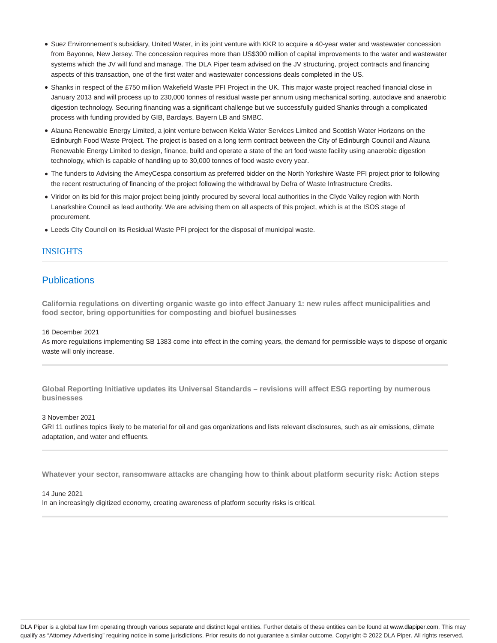- Suez Environnement's subsidiary, United Water, in its joint venture with KKR to acquire a 40-year water and wastewater concession from Bayonne, New Jersey. The concession requires more than US\$300 million of capital improvements to the water and wastewater systems which the JV will fund and manage. The DLA Piper team advised on the JV structuring, project contracts and financing aspects of this transaction, one of the first water and wastewater concessions deals completed in the US.
- Shanks in respect of the £750 million Wakefield Waste PFI Project in the UK. This major waste project reached financial close in January 2013 and will process up to 230,000 tonnes of residual waste per annum using mechanical sorting, autoclave and anaerobic digestion technology. Securing financing was a significant challenge but we successfully guided Shanks through a complicated process with funding provided by GIB, Barclays, Bayern LB and SMBC.
- Alauna Renewable Energy Limited, a joint venture between Kelda Water Services Limited and Scottish Water Horizons on the Edinburgh Food Waste Project. The project is based on a long term contract between the City of Edinburgh Council and Alauna Renewable Energy Limited to design, finance, build and operate a state of the art food waste facility using anaerobic digestion technology, which is capable of handling up to 30,000 tonnes of food waste every year.
- The funders to Advising the AmeyCespa consortium as preferred bidder on the North Yorkshire Waste PFI project prior to following the recent restructuring of financing of the project following the withdrawal by Defra of Waste Infrastructure Credits.
- Viridor on its bid for this major project being jointly procured by several local authorities in the Clyde Valley region with North Lanarkshire Council as lead authority. We are advising them on all aspects of this project, which is at the ISOS stage of procurement.
- Leeds City Council on its Residual Waste PFI project for the disposal of municipal waste.

## INSIGHTS

# **Publications**

**California regulations on diverting organic waste go into effect January 1: new rules affect municipalities and food sector, bring opportunities for composting and biofuel businesses**

#### 16 December 2021

As more regulations implementing SB 1383 come into effect in the coming years, the demand for permissible ways to dispose of organic waste will only increase.

**Global Reporting Initiative updates its Universal Standards – revisions will affect ESG reporting by numerous businesses**

#### 3 November 2021

GRI 11 outlines topics likely to be material for oil and gas organizations and lists relevant disclosures, such as air emissions, climate adaptation, and water and effluents.

**Whatever your sector, ransomware attacks are changing how to think about platform security risk: Action steps**

14 June 2021 In an increasingly digitized economy, creating awareness of platform security risks is critical.